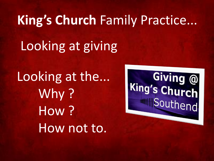# Looking at giving **King's Church** Family Practice...

Looking at the... Why ? How ? How not to.

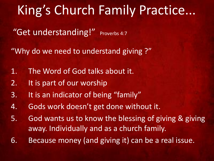"Get understanding!" Proverbs 4:7

"Why do we need to understand giving ?"

- 1. The Word of God talks about it.
- 2. It is part of our worship
- 3. It is an indicator of being "family"
- 4. Gods work doesn't get done without it.
- 5. God wants us to know the blessing of giving & giving away. Individually and as a church family.
- 6. Because money (and giving it) can be a real issue.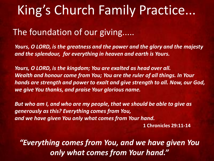#### The foundation of our giving.....

*Yours, O LORD, is the greatness and the power and the glory and the majesty and the splendour, for everything in heaven and earth is Yours.* 

*Yours, O LORD, is the kingdom; You are exalted as head over all. Wealth and honour come from You; You are the ruler of all things. In Your hands are strength and power to exalt and give strength to all. Now, our God, we give You thanks, and praise Your glorious name.* 

*But who am I, and who are my people, that we should be able to give as generously as this? Everything comes from You, and we have given You only what comes from Your hand.*

**1 Chronicles 29:11-14**

*"Everything comes from You, and we have given You only what comes from Your hand."*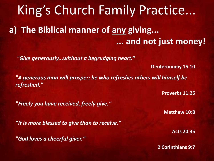King's Church Family Practice... **a) The Biblical manner of any giving... ... and not just money!**

*"Give generously...without a begrudging heart."*

**Deuteronomy 15:10**

*"A generous man will prosper; he who refreshes others will himself be refreshed."* 

**Proverbs 11:25**

*"Freely you have received, freely give."* 

**Matthew 10:8**

*"It is more blessed to give than to receive."* 

*"God loves a cheerful giver."* 

**Acts 20:35**

**2 Corinthians 9:7**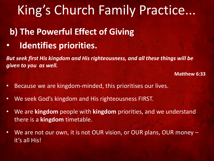#### **b) The Powerful Effect of Giving**

• **Identifies priorities.** 

*But seek first His kingdom and His righteousness, and all these things will be given to you as well.*

**Matthew 6:33**

- Because we are kingdom-minded, this prioritises our lives.
- We seek God's kingdom and His righteousness FIRST.
- We are **kingdom** people with **kingdom** priorities, and we understand there is a **kingdom** timetable.
- We are not our own, it is not OUR vision, or OUR plans, OUR money it's all His!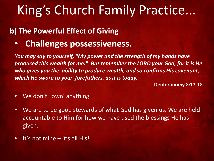#### **b) The Powerful Effect of Giving**

• **Challenges possessiveness.**

*You may say to yourself, "My power and the strength of my hands have produced this wealth for me." But remember the LORD your God, for it is He who gives you the ability to produce wealth, and so confirms His covenant, which He swore to your forefathers, as it is today.*

**Deuteronomy 8:17-18**

- We don't 'own' anything !
- We are to be good stewards of what God has given us. We are held accountable to Him for how we have used the blessings He has given.
- It's not mine it's all His!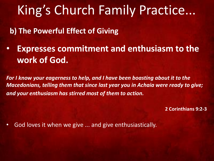**b) The Powerful Effect of Giving**

• **Expresses commitment and enthusiasm to the work of God.**

*For I know your eagerness to help, and I have been boasting about it to the Macedonians, telling them that since last year you in Achaia were ready to give; and your enthusiasm has stirred most of them to action.*

**2 Corinthians 9:2-3**

• God loves it when we give ... and give enthusiastically.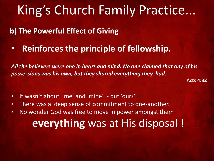**b) The Powerful Effect of Giving**

• **Reinforces the principle of fellowship.**

*All the believers were one in heart and mind. No one claimed that any of his possessions was his own, but they shared everything they had.*

**Acts 4:32**

- It wasn't about 'me' and 'mine' but 'ours' !
- There was a deep sense of commitment to one-another.
- No wonder God was free to move in power amongst them **everything** was at His disposal !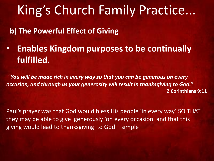**b) The Powerful Effect of Giving**

• **Enables Kingdom purposes to be continually fulfilled.**

*"You will be made rich in every way so that you can be generous on every occasion, and through us your generosity will result in thanksgiving to God."* **2 Corinthians 9:11**

Paul's prayer was that God would bless His people 'in every way' SO THAT they may be able to give generously 'on every occasion' and that this giving would lead to thanksgiving to God – simple!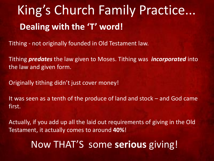Tithing - not originally founded in Old Testament law.

Tithing *predates* the law given to Moses. Tithing was *incorporated* into the law and given form.

Originally tithing didn't just cover money!

It was seen as a tenth of the produce of land and stock – and God came first.

Actually, if you add up all the laid out requirements of giving in the Old Testament, it actually comes to around **40%**!

#### Now THAT'S some **serious** giving!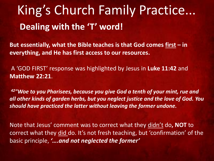**But essentially, what the Bible teaches is that God comes first – in everything, and He has first access to our resources.**

A 'GOD FIRST' response was highlighted by Jesus in **Luke 11:42** and **Matthew 22:21**.

*<sup>42</sup>"Woe to you Pharisees, because you give God a tenth of your mint, rue and all other kinds of garden herbs, but you neglect justice and the love of God. You should have practiced the latter without leaving the former undone.*

Note that Jesus' comment was to correct what they didn't do**, NOT** to correct what they did do. It's not fresh teaching, but 'confirmation' of the basic principle, *'….and not neglected the former'*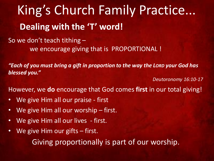So we don't teach tithing – we encourage giving that is PROPORTIONAL !

*"Each of you must bring a gift in proportion to the way the LORD your God has blessed you."*

*Deutoronomy 16:10-17*

However, we **do** encourage that God comes **first** in our total giving!

- We give Him all our praise first
- We give Him all our worship  $-$  first.
- We give Him all our lives first.
- We give Him our gifts  $-$  first.

Giving proportionally is part of our worship.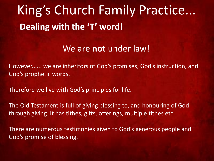#### We are **not** under law!

However...... we are inheritors of God's promises, God's instruction, and God's prophetic words.

Therefore we live with God's principles for life.

The Old Testament is full of giving blessing to, and honouring of God through giving. It has tithes, gifts, offerings, multiple tithes etc.

There are numerous testimonies given to God's generous people and God's promise of blessing.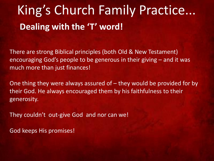There are strong Biblical principles (both Old & New Testament) encouraging God's people to be generous in their giving – and it was much more than just finances!

One thing they were always assured of  $-$  they would be provided for by their God. He always encouraged them by his faithfulness to their generosity.

They couldn't out-give God and nor can we!

God keeps His promises!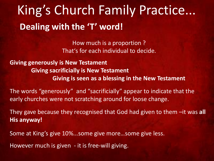How much is a proportion ? That's for each individual to decide.

**Giving generously is New Testament Giving sacrificially is New Testament Giving is seen as a blessing in the New Testament**

The words "generously" and "sacrificially" appear to indicate that the early churches were not scratching around for loose change.

They gave because they recognised that God had given to them –it was **all His anyway!** 

Some at King's give 10%...some give more…some give less.

However much is given - it is free-will giving.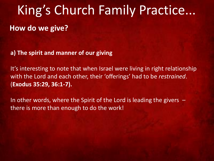**a) The spirit and manner of our giving**

It's interesting to note that when Israel were living in right relationship with the Lord and each other, their 'offerings' had to be *restrained*. (**Exodus 35:29, 36:1-7).**

In other words, where the Spirit of the Lord is leading the givers  $$ there is more than enough to do the work!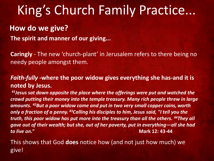#### **How do we give?**

**The spirit and manner of our giving...**

**Caringly** - The new 'church-plant' in Jerusalem refers to there being no needy people amongst them.

*Faith-fully -***where the poor widow gives everything she has-and it is noted by Jesus.** 

*<sup>41</sup>Jesus sat down opposite the place where the offerings were put and watched the crowd putting their money into the temple treasury. Many rich people threw in large amounts. <sup>42</sup>But a poor widow came and put in two very small copper coins, worth only a fraction of a penny. <sup>43</sup>Calling his disciples to him, Jesus said, "I tell you the truth, this poor widow has put more into the treasury than all the others. <sup>44</sup>They all gave out of their wealth; but she, out of her poverty, put in everything—all she had to live on."* **Mark 12: 43-44**

This shows that God **does** notice how (and not just how much) we give!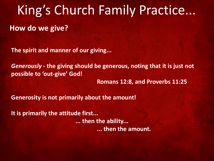**The spirit and manner of our giving...**

*Generously -* **the giving should be generous, noting that it is just not possible to 'out-give' God!**

**Romans 12:8, and Proverbs 11:25**

**Generosity is not primarily about the amount!** 

**It is primarily the attitude first... ... then the ability... ... then the amount.**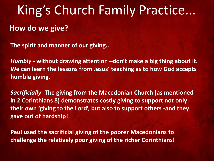**The spirit and manner of our giving...**

*Humbly -* **without drawing attention –don't make a big thing about it. We can learn the lessons from Jesus' teaching as to how God accepts humble giving.**

*Sacrificially -***The giving from the Macedonian Church (as mentioned in 2 Corinthians 8) demonstrates costly giving to support not only their own 'giving to the Lord', but also to support others -and they gave out of hardship!**

**Paul used the sacrificial giving of the poorer Macedonians to challenge the relatively poor giving of the richer Corinthians!**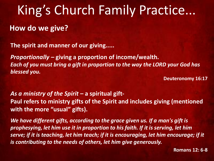#### **How do we give?**

**The spirit and manner of our giving.....**

*Proportionally –* **giving a proportion of income/wealth.** *Each of you must bring a gift in proportion to the way the LORD your God has blessed you.*

**Deuteronomy 16:17**

*As a ministry of the Spirit* **– a spiritual gift-Paul refers to ministry gifts of the Spirit and includes giving (mentioned with the more "usual" gifts).**

*We have different gifts, according to the grace given us. If a man's gift is prophesying, let him use it in proportion to his faith. If it is serving, let him serve; if it is teaching, let him teach; if it is encouraging, let him encourage; if it is contributing to the needs of others, let him give generously.*

**Romans 12: 6-8**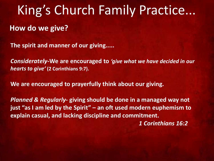**The spirit and manner of our giving.....**

*Considerately-***We are encouraged to** *'give what we have decided in our hearts to give'* **(2 Corinthians 9:7).**

**We are encouraged to prayerfully think about our giving.**

*Planned & Regularly-* **giving should be done in a managed way not just "as I am led by the Spirit" – an oft used modern euphemism to explain casual, and lacking discipline and commitment.**  *1 Corinthians 16:2*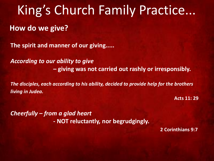**The spirit and manner of our giving.....**

*According to our ability to give* **– giving was not carried out rashly or irresponsibly.**

*The disciples, each according to his ability, decided to provide help for the brothers living in Judea.*

**Acts 11: 29**

*Cheerfully – from a glad heart*  **- NOT reluctantly, nor begrudgingly.**

**2 Corinthians 9:7**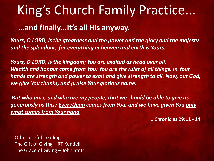### King's Church Family Practice... **...and finally...it's all His anyway.**

*Yours, O LORD, is the greatness and the power and the glory and the majesty and the splendour, for everything in heaven and earth is Yours.* 

*Yours, O LORD, is the kingdom; You are exalted as head over all. Wealth and honour come from You; You are the ruler of all things. In Your hands are strength and power to exalt and give strength to all. Now, our God, we give You thanks, and praise Your glorious name.*

*But who am I, and who are my people, that we should be able to give as generously as this? Everything comes from You, and we have given You only what comes from Your hand.*

**1 Chronicles 29:11 - 14**

Other useful reading: The Gift of Giving – RT Kendell The Grace of Giving – John Stott